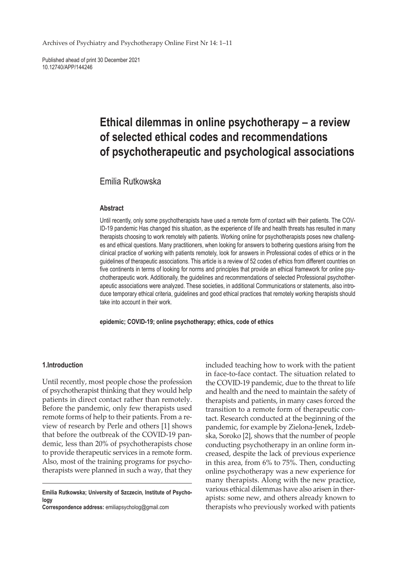Archives of Psychiatry and Psychotherapy Online First Nr 14: 1–11

Published ahead of print 30 December 2021 10.12740/APP/144246

# **Ethical dilemmas in online psychotherapy – a review of selected ethical codes and recommendations of psychotherapeutic and psychological associations**

# Emilia Rutkowska

#### **Abstract**

Until recently, only some psychotherapists have used a remote form of contact with their patients. The COV-ID-19 pandemic Has changed this situation, as the experience of life and health threats has resulted in many therapists choosing to work remotely with patients. Working online for psychotherapists poses new challenges and ethical questions. Many practitioners, when looking for answers to bothering questions arising from the clinical practice of working with patients remotely, look for answers in Professional codes of ethics or in the guidelines of therapeutic associations. This article is a review of 52 codes of ethics from different countries on five continents in terms of looking for norms and principles that provide an ethical framework for online psychotherapeutic work. Additionally, the guidelines and recommendations of selected Professional psychotherapeutic associations were analyzed. These societies, in additional Communications or statements, also introduce temporary ethical criteria, guidelines and good ethical practices that remotely working therapists should take into account in their work.

**epidemic; COVID-19; online psychotherapy; ethics, code of ethics**

### **1.Introduction**

Until recently, most people chose the profession of psychotherapist thinking that they would help patients in direct contact rather than remotely. Before the pandemic, only few therapists used remote forms of help to their patients. From a review of research by Perle and others [1] shows that before the outbreak of the COVID-19 pandemic, less than 20% of psychotherapists chose to provide therapeutic services in a remote form. Also, most of the training programs for psychotherapists were planned in such a way, that they

**Correspondence address:** emiliapsycholog@gmail.com

included teaching how to work with the patient in face-to-face contact. The situation related to the COVID-19 pandemic, due to the threat to life and health and the need to maintain the safety of therapists and patients, in many cases forced the transition to a remote form of therapeutic contact. Research conducted at the beginning of the pandemic, for example by Zielona-Jenek, Izdebska, Soroko [2], shows that the number of people conducting psychotherapy in an online form increased, despite the lack of previous experience in this area, from 6% to 75%. Then, conducting online psychotherapy was a new experience for many therapists. Along with the new practice, various ethical dilemmas have also arisen in therapists: some new, and others already known to therapists who previously worked with patients

**Emilia Rutkowska; University of Szczecin, Institute of Psychology**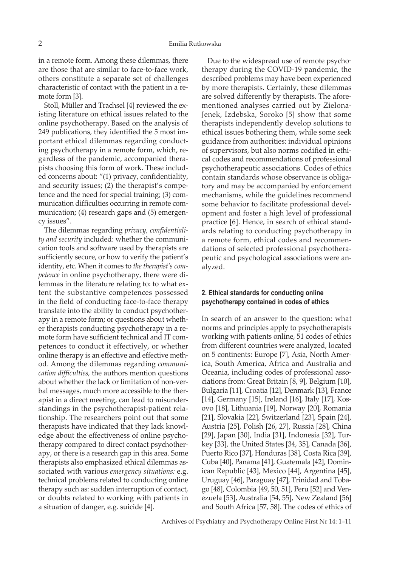in a remote form. Among these dilemmas, there are those that are similar to face-to-face work, others constitute a separate set of challenges characteristic of contact with the patient in a remote form [3].

Stoll, Müller and Trachsel [4] reviewed the existing literature on ethical issues related to the online psychotherapy. Based on the analysis of 249 publications, they identified the 5 most important ethical dilemmas regarding conducting psychotherapy in a remote form, which, regardless of the pandemic, accompanied therapists choosing this form of work. These included concerns about: "(1) privacy, confidentiality, and security issues; (2) the therapist's competence and the need for special training; (3) communication difficulties occurring in remote communication; (4) research gaps and (5) emergency issues".

The dilemmas regarding *privacy, confidentiality and security* included: whether the communication tools and software used by therapists are sufficiently secure, or how to verify the patient's identity, etc. When it comes to *the therapist's competence* in online psychotherapy, there were dilemmas in the literature relating to: to what extent the substantive competences possessed in the field of conducting face-to-face therapy translate into the ability to conduct psychotherapy in a remote form; or questions about whether therapists conducting psychotherapy in a remote form have sufficient technical and IT competences to conduct it effectively, or whether online therapy is an effective and effective method. Among the dilemmas regarding *communication difficulties,* the authors mention questions about whether the lack or limitation of non-verbal messages, much more accessible to the therapist in a direct meeting, can lead to misunderstandings in the psychotherapist-patient relationship. The researchers point out that some therapists have indicated that they lack knowledge about the effectiveness of online psychotherapy compared to direct contact psychotherapy, or there is a research gap in this area. Some therapists also emphasized ethical dilemmas associated with various *emergency situations:* e.g. technical problems related to conducting online therapy such as: sudden interruption of contact, or doubts related to working with patients in a situation of danger, e.g. suicide [4].

Due to the widespread use of remote psychotherapy during the COVID-19 pandemic, the described problems may have been experienced by more therapists. Certainly, these dilemmas are solved differently by therapists. The aforementioned analyses carried out by Zielona-Jenek, Izdebska, Soroko [5] show that some therapists independently develop solutions to ethical issues bothering them, while some seek guidance from authorities: individual opinions of supervisors, but also norms codified in ethical codes and recommendations of professional psychotherapeutic associations. Codes of ethics contain standards whose observance is obligatory and may be accompanied by enforcement mechanisms, while the guidelines recommend some behavior to facilitate professional development and foster a high level of professional practice [6]. Hence, in search of ethical standards relating to conducting psychotherapy in a remote form, ethical codes and recommendations of selected professional psychotherapeutic and psychological associations were analyzed.

## **2. Ethical standards for conducting online psychotherapy contained in codes of ethics**

In search of an answer to the question: what norms and principles apply to psychotherapists working with patients online, 51 codes of ethics from different countries were analyzed, located on 5 continents: Europe [7], Asia, North America, South America, Africa and Australia and Oceania, including codes of professional associations from: Great Britain [8, 9], Belgium [10], Bulgaria [11], Croatia [12], Denmark [13], France [14], Germany [15], Ireland [16], Italy [17], Kosovo [18], Lithuania [19], Norway [20], Romania [21], Slovakia [22], Switzerland [23], Spain [24], Austria [25], Polish [26, 27], Russia [28], China [29], Japan [30], India [31], Indonesia [32], Turkey [33], the United States [34, 35], Canada [36], Puerto Rico [37], Honduras [38], Costa Rica [39], Cuba [40], Panama [41], Guatemala [42], Dominican Republic [43], Mexico [44], Argentina [45], Uruguay [46], Paraguay [47], Trinidad and Tobago [48], Colombia [49, 50, 51], Peru [52] and Venezuela [53], Australia [54, 55], New Zealand [56] and South Africa [57, 58]. The codes of ethics of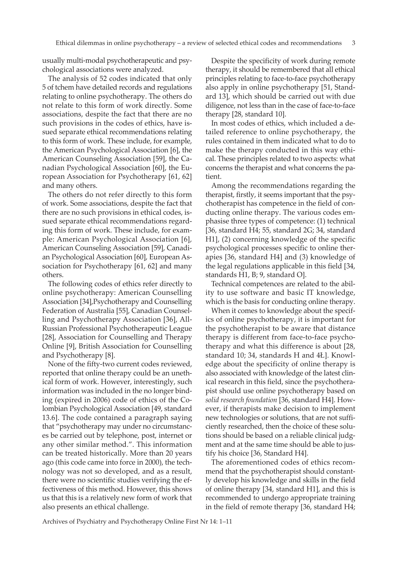usually multi-modal psychotherapeutic and psychological associations were analyzed.

The analysis of 52 codes indicated that only 5 of tchem have detailed records and regulations relating to online psychotherapy. The others do not relate to this form of work directly. Some associations, despite the fact that there are no such provisions in the codes of ethics, have issued separate ethical recommendations relating to this form of work. These include, for example, the American Psychological Association [6], the American Counseling Association [59], the Canadian Psychological Association [60], the European Association for Psychotherapy [61, 62] and many others.

The others do not refer directly to this form of work. Some associations, despite the fact that there are no such provisions in ethical codes, issued separate ethical recommendations regarding this form of work. These include, for example: American Psychological Association [6], American Counseling Association [59], Canadian Psychological Association [60], European Association for Psychotherapy [61, 62] and many others.

The following codes of ethics refer directly to online psychotherapy: American Counselling Association [34],Psychotherapy and Counselling Federation of Australia [55], Canadian Counselling and Psychotherapy Association [36], All-Russian Professional Psychotherapeutic League [28], Association for Counselling and Therapy Online [9], British Association for Counselling and Psychotherapy [8].

None of the fifty-two current codes reviewed, reported that online therapy could be an unethical form of work. However, interestingly, such information was included in the no longer binding (expired in 2006) code of ethics of the Colombian Psychological Association [49, standard 13.6]. The code contained a paragraph saying that "psychotherapy may under no circumstances be carried out by telephone, post, internet or any other similar method.". This information can be treated historically. More than 20 years ago (this code came into force in 2000), the technology was not so developed, and as a result, there were no scientific studies verifying the effectiveness of this method. However, this shows us that this is a relatively new form of work that also presents an ethical challenge.

Despite the specificity of work during remote therapy, it should be remembered that all ethical principles relating to face-to-face psychotherapy also apply in online psychotherapy [51, Standard 13], which should be carried out with due diligence, not less than in the case of face-to-face therapy [28, standard 10].

In most codes of ethics, which included a detailed reference to online psychotherapy, the rules contained in them indicated what to do to make the therapy conducted in this way ethical. These principles related to two aspects: what concerns the therapist and what concerns the patient.

Among the recommendations regarding the therapist, firstly, it seems important that the psychotherapist has competence in the field of conducting online therapy. The various codes emphasise three types of competence: (1) technical [36, standard H4; 55, standard 2G; 34, standard H1], (2) concerning knowledge of the specific psychological processes specific to online therapies [36, standard H4] and (3) knowledge of the legal regulations applicable in this field [34, standards H1, B; 9, standard O].

Technical competences are related to the ability to use software and basic IT knowledge, which is the basis for conducting online therapy.

When it comes to knowledge about the specifics of online psychotherapy, it is important for the psychotherapist to be aware that distance therapy is different from face-to-face psychotherapy and what this difference is about [28, standard 10; 34, standards H and 4Ł]. Knowledge about the specificity of online therapy is also associated with knowledge of the latest clinical research in this field, since the psychotherapist should use online psychotherapy based on *solid research foundation* [36, standard H4]. However, if therapists make decision to implement new technologies or solutions, that are not sufficiently researched, then the choice of these solutions should be based on a reliable clinical judgment and at the same time should be able to justify his choice [36, Standard H4].

The aforementioned codes of ethics recommend that the psychotherapist should constantly develop his knowledge and skills in the field of online therapy [34, standard H1], and this is recommended to undergo appropriate training in the field of remote therapy [36, standard H4;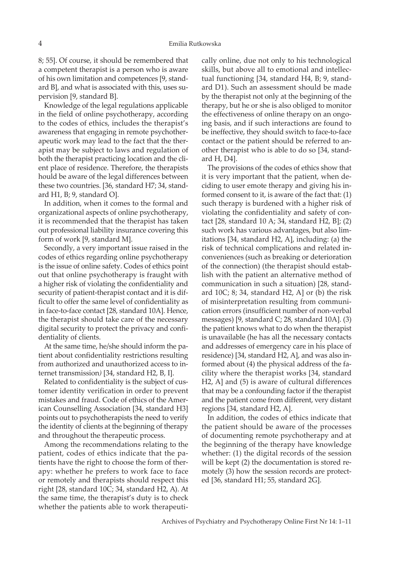8; 55]. Of course, it should be remembered that a competent therapist is a person who is aware of his own limitation and competences [9, standard B], and what is associated with this, uses supervision [9, standard B].

Knowledge of the legal regulations applicable in the field of online psychotherapy, according to the codes of ethics, includes the therapist's awareness that engaging in remote psychotherapeutic work may lead to the fact that the therapist may be subject to laws and regulation of both the therapist practicing location and the client place of residence. Therefore, the therapists hould be aware of the legal differences between these two countries. [36, standard H7; 34, standard H1, B; 9, standard O].

In addition, when it comes to the formal and organizational aspects of online psychotherapy, it is recommended that the therapist has taken out professional liability insurance covering this form of work [9, standard M].

Secondly, a very important issue raised in the codes of ethics regarding online psychotherapy is the issue of online safety. Codes of ethics point out that online psychotherapy is fraught with a higher risk of violating the confidentiality and security of patient-therapist contact and it is difficult to offer the same level of confidentiality as in face-to-face contact [28, standard 10A]. Hence, the therapist should take care of the necessary digital security to protect the privacy and confidentiality of clients.

At the same time, he/she should inform the patient about confidentiality restrictions resulting from authorized and unauthorized access to internet transmission*)* [34, standard H2, B, I].

Related to confidentiality is the subject of customer identity verification in order to prevent mistakes and fraud. Code of ethics of the American Counselling Association [34, standard H3] points out to psychotherapists the need to verify the identity of clients at the beginning of therapy and throughout the therapeutic process.

Among the recommendations relating to the patient, codes of ethics indicate that the patients have the right to choose the form of therapy: whether he prefers to work face to face or remotely and therapists should respect this right [28, standard 10C; 34, standard H2, A). At the same time, the therapist's duty is to check whether the patients able to work therapeutically online, due not only to his technological skills, but above all to emotional and intellectual functioning [34, standard H4, B; 9, standard D1). Such an assessment should be made by the therapist not only at the beginning of the therapy, but he or she is also obliged to monitor the effectiveness of online therapy on an ongoing basis, and if such interactions are found to be ineffective, they should switch to face-to-face contact or the patient should be referred to another therapist who is able to do so [34, standard H, D4].

The provisions of the codes of ethics show that it is very important that the patient, when deciding to user emote therapy and giving his informed consent to it, is aware of the fact that: (1) such therapy is burdened with a higher risk of violating the confidentiality and safety of contact [28, standard 10 A; 34, standard H2, B]; (2) such work has various advantages, but also limitations [34, standard H2, A], including: (a) the risk of technical complications and related inconveniences (such as breaking or deterioration of the connection) (the therapist should establish with the patient an alternative method of communication in such a situation) [28, standard  $10C$ ; 8; 34, standard H2, A] or (b) the risk of misinterpretation resulting from communication errors (insufficient number of non-verbal messages) [9, standard C; 28, standard 10A]. (3) the patient knows what to do when the therapist is unavailable (he has all the necessary contacts and addresses of emergency care in his place of residence) [34, standard H2, A], and was also informed about (4) the physical address of the facility where the therapist works [34, standard H2, A] and (5) is aware of cultural differences that may be a confounding factor if the therapist and the patient come from different, very distant regions [34, standard H2, A].

In addition, the codes of ethics indicate that the patient should be aware of the processes of documenting remote psychotherapy and at the beginning of the therapy have knowledge whether: (1) the digital records of the session will be kept (2) the documentation is stored remotely (3) how the session records are protected [36, standard H1; 55, standard 2G].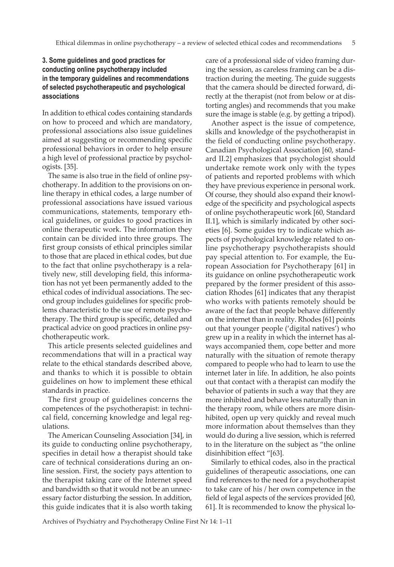# **3. Some guidelines and good practices for conducting online psychotherapy included in the temporary guidelines and recommendations of selected psychotherapeutic and psychological associations**

In addition to ethical codes containing standards on how to proceed and which are mandatory, professional associations also issue guidelines aimed at suggesting or recommending specific professional behaviors in order to help ensure a high level of professional practice by psychologists. [35].

The same is also true in the field of online psychotherapy. In addition to the provisions on online therapy in ethical codes, a large number of professional associations have issued various communications, statements, temporary ethical guidelines, or guides to good practices in online therapeutic work. The information they contain can be divided into three groups. The first group consists of ethical principles similar to those that are placed in ethical codes, but due to the fact that online psychotherapy is a relatively new, still developing field, this information has not yet been permanently added to the ethical codes of individual associations. The second group includes guidelines for specific problems characteristic to the use of remote psychotherapy. The third group is specific, detailed and practical advice on good practices in online psychotherapeutic work.

This article presents selected guidelines and recommendations that will in a practical way relate to the ethical standards described above, and thanks to which it is possible to obtain guidelines on how to implement these ethical standards in practice.

The first group of guidelines concerns the competences of the psychotherapist: in technical field, concerning knowledge and legal regulations.

The American Counseling Association [34], in its guide to conducting online psychotherapy, specifies in detail how a therapist should take care of technical considerations during an online session. First, the society pays attention to the therapist taking care of the Internet speed and bandwidth so that it would not be an unnecessary factor disturbing the session. In addition, this guide indicates that it is also worth taking care of a professional side of video framing during the session, as careless framing can be a distraction during the meeting. The guide suggests that the camera should be directed forward, directly at the therapist (not from below or at distorting angles) and recommends that you make sure the image is stable (e.g. by getting a tripod).

Another aspect is the issue of competence, skills and knowledge of the psychotherapist in the field of conducting online psychotherapy. Canadian Psychological Association [60, standard II.2] emphasizes that psychologist should undertake remote work only with the types of patients and reported problems with which they have previous experience in personal work. Of course, they should also expand their knowledge of the specificity and psychological aspects of online psychotherapeutic work [60, Standard II.1], which is similarly indicated by other societies [6]. Some guides try to indicate which aspects of psychological knowledge related to online psychotherapy psychotherapists should pay special attention to. For example, the European Association for Psychotherapy [61] in its guidance on online psychotherapeutic work prepared by the former president of this association Rhodes [61] indicates that any therapist who works with patients remotely should be aware of the fact that people behave differently on the internet than in reality. Rhodes [61] points out that younger people ('digital natives') who grew up in a reality in which the internet has always accompanied them, cope better and more naturally with the situation of remote therapy compared to people who had to learn to use the internet later in life. In addition, he also points out that contact with a therapist can modify the behavior of patients in such a way that they are more inhibited and behave less naturally than in the therapy room, while others are more disinhibited, open up very quickly and reveal much more information about themselves than they would do during a live session, which is referred to in the literature on the subject as "the online disinhibition effect "[63].

Similarly to ethical codes, also in the practical guidelines of therapeutic associations, one can find references to the need for a psychotherapist to take care of his / her own competence in the field of legal aspects of the services provided [60, 61]. It is recommended to know the physical lo-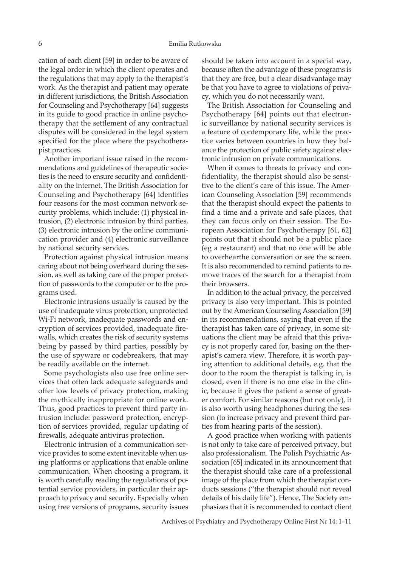cation of each client [59] in order to be aware of the legal order in which the client operates and the regulations that may apply to the therapist's work. As the therapist and patient may operate in different jurisdictions, the British Association for Counseling and Psychotherapy [64] suggests in its guide to good practice in online psychotherapy that the settlement of any contractual disputes will be considered in the legal system specified for the place where the psychotherapist practices.

Another important issue raised in the recommendations and guidelines of therapeutic societies is the need to ensure security and confidentiality on the internet. The British Association for Counseling and Psychotherapy [64] identifies four reasons for the most common network security problems, which include: (1) physical intrusion, (2) electronic intrusion by third parties, (3) electronic intrusion by the online communication provider and (4) electronic surveillance by national security services.

Protection against physical intrusion means caring about not being overheard during the session, as well as taking care of the proper protection of passwords to the computer or to the programs used.

Electronic intrusions usually is caused by the use of inadequate virus protection, unprotected Wi-Fi network, inadequate passwords and encryption of services provided, inadequate firewalls, which creates the risk of security systems being by passed by third parties, possibly by the use of spyware or codebreakers, that may be readily available on the internet.

Some psychologists also use free online services that often lack adequate safeguards and offer low levels of privacy protection, making the mythically inappropriate for online work. Thus, good practices to prevent third party intrusion include: password protection, encryption of services provided, regular updating of firewalls, adequate antivirus protection.

Electronic intrusion of a communication service provides to some extent inevitable when using platforms or applications that enable online communication. When choosing a program, it is worth carefully reading the regulations of potential service providers, in particular their approach to privacy and security. Especially when using free versions of programs, security issues should be taken into account in a special way, because often the advantage of these programs is that they are free, but a clear disadvantage may be that you have to agree to violations of privacy, which you do not necessarily want.

The British Association for Counseling and Psychotherapy [64] points out that electronic surveillance by national security services is a feature of contemporary life, while the practice varies between countries in how they balance the protection of public safety against electronic intrusion on private communications.

When it comes to threats to privacy and confidentiality, the therapist should also be sensitive to the client's care of this issue. The American Counseling Association [59] recommends that the therapist should expect the patients to find a time and a private and safe places, that they can focus only on their session. The European Association for Psychotherapy [61, 62] points out that it should not be a public place (eg a restaurant) and that no one will be able to overhearthe conversation or see the screen. It is also recommended to remind patients to remove traces of the search for a therapist from their browsers.

In addition to the actual privacy, the perceived privacy is also very important. This is pointed out by the American Counseling Association [59] in its recommendations, saying that even if the therapist has taken care of privacy, in some situations the client may be afraid that this privacy is not properly cared for, basing on the therapist's camera view. Therefore, it is worth paying attention to additional details, e.g. that the door to the room the therapist is talking in, is closed, even if there is no one else in the clinic, because it gives the patient a sense of greater comfort. For similar reasons (but not only), it is also worth using headphones during the session (to increase privacy and prevent third parties from hearing parts of the session).

A good practice when working with patients is not only to take care of perceived privacy, but also professionalism. The Polish Psychiatric Association [65] indicated in its announcement that the therapist should take care of a professional image of the place from which the therapist conducts sessions ("the therapist should not reveal details of his daily life"). Hence, The Society emphasizes that it is recommended to contact client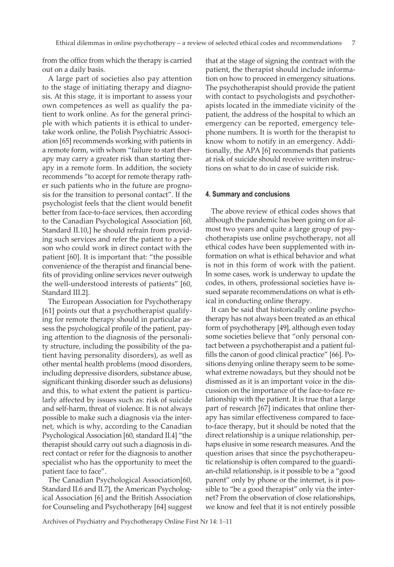from the office from which the therapy is carried out on a daily basis.

A large part of societies also pay attention to the stage of initiating therapy and diagnosis. At this stage, it is important to assess your own competences as well as qualify the patient to work online. As for the general principle with which patients it is ethical to undertake work online, the Polish Psychiatric Association [65] recommends working with patients in a remote form, with whom "failure to start therapy may carry a greater risk than starting therapy in a remote form. In addition, the society recommends "to accept for remote therapy rather such patients who in the future are prognosis for the transition to personal contact". If the psychologist feels that the client would benefit better from face-to-face services, then according to the Canadian Psychological Association [60, Standard II.10,] he should refrain from providing such services and refer the patient to a person who could work in direct contact with the patient [60]. It is important that: "the possible convenience of the therapist and financial benefits of providing online services never outweigh the well-understood interests of patients" [60, Standard III.2].

The European Association for Psychotherapy [61] points out that a psychotherapist qualifying for remote therapy should in particular assess the psychological profile of the patient, paying attention to the diagnosis of the personality structure, including the possibility of the patient having personality disorders), as well as other mental health problems (mood disorders, including depressive disorders, substance abuse, significant thinking disorder ssuch as delusions) and this, to what extent the patient is particularly affected by issues such as: risk of suicide and self-harm, threat of violence. It is not always possible to make such a diagnosis via the internet, which is why, according to the Canadian Psychological Association [60, standard II.4] "the therapist should carry out such a diagnosis in direct contact or refer for the diagnosis to another specialist who has the opportunity to meet the patient face to face".

The Canadian Psychological Association[60, Standard II.6 and II.7], the American Psychological Association [6] and the British Association for Counseling and Psychotherapy [64] suggest that at the stage of signing the contract with the patient, the therapist should include information on how to proceed in emergency situations. The psychotherapist should provide the patient with contact to psychologists and psychotherapists located in the immediate vicinity of the patient, the address of the hospital to which an emergency can be reported, emergency telephone numbers. It is worth for the therapist to know whom to notify in an emergency. Additionally, the APA [6] recommends that patients at risk of suicide should receive written instructions on what to do in case of suicide risk.

#### **4. Summary and conclusions**

The above review of ethical codes shows that although the pandemic has been going on for almost two years and quite a large group of psychotherapists use online psychotherapy, not all ethical codes have been supplemented with information on what is ethical behavior and what is not in this form of work with the patient. In some cases, work is underway to update the codes, in others, professional societies have issued separate recommendations on what is ethical in conducting online therapy.

It can be said that historically online psychotherapy has not always been treated as an ethical form of psychotherapy [49], although even today some societies believe that "only personal contact between a psychotherapist and a patient fulfills the canon of good clinical practice" [66]. Positions denying online therapy seem to be somewhat extreme nowadays, but they should not be dismissed as it is an important voice in the discussion on the importance of the face-to-face relationship with the patient. It is true that a large part of research [67] indicates that online therapy has similar effectiveness compared to faceto-face therapy, but it should be noted that the direct relationship is a unique relationship, perhaps elusive in some research measures. And the question arises that since the psychotherapeutic relationship is often compared to the guardian-child relationship, is it possible to be a "good parent" only by phone or the internet, is it possible to "be a good therapist" only via the internet? From the observation of close relationships, we know and feel that it is not entirely possible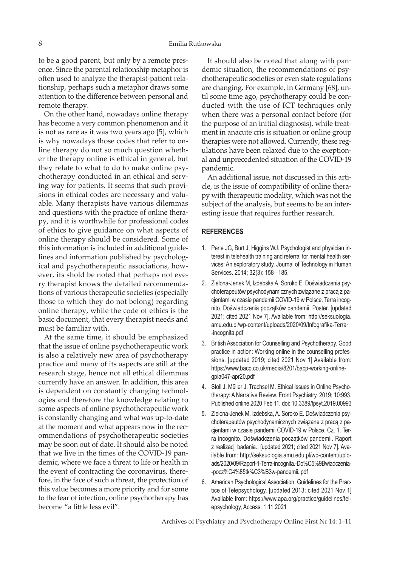to be a good parent, but only by a remote presence. Since the parental relationship metaphor is often used to analyze the therapist-patient relationship, perhaps such a metaphor draws some attention to the difference between personal and remote therapy.

On the other hand, nowadays online therapy has become a very common phenomenon and it is not as rare as it was two years ago [5], which is why nowadays those codes that refer to online therapy do not so much question whether the therapy online is ethical in general, but they relate to what to do to make online psychotherapy conducted in an ethical and serving way for patients. It seems that such provisions in ethical codes are necessary and valuable. Many therapists have various dilemmas and questions with the practice of online therapy, and it is worthwhile for professional codes of ethics to give guidance on what aspects of online therapy should be considered. Some of this information is included in additional guidelines and information published by psychological and psychotherapeutic associations, however, its shold be noted that perhaps not every therapist knows the detailed recommendations of various therapeutic societies (especially those to which they do not belong) regarding online therapy, while the code of ethics is the basic document, that every therapist needs and must be familiar with.

At the same time, it should be emphasized that the issue of online psychotherapeutic work is also a relatively new area of psychotherapy practice and many of its aspects are still at the research stage, hence not all ethical dilemmas currently have an answer. In addition, this area is dependent on constantly changing technologies and therefore the knowledge relating to some aspects of online psychotherapeutic work is constantly changing and what was up-to-date at the moment and what appears now in the recommendations of psychotherapeutic societies may be soon out of date. It should also be noted that we live in the times of the COVID-19 pandemic, where we face a threat to life or health in the event of contracting the coronavirus, therefore, in the face of such a threat, the protection of this value becomes a more priority and for some to the fear of infection, online psychotherapy has become "a little less evil".

It should also be noted that along with pandemic situation, the recommendations of psychotherapeutic societies or even state regulations are changing. For example, in Germany [68], until some time ago, psychotherapy could be conducted with the use of ICT techniques only when there was a personal contact before (for the purpose of an initial diagnosis), while treatment in anacute cris is situation or online group therapies were not allowed. Currently, these regulations have been relaxed due to the exeptional and unprecedented situation of the COVID-19 pandemic.

An additional issue, not discussed in this article, is the issue of compatibility of online therapy with therapeutic modality, which was not the subject of the analysis, but seems to be an interesting issue that requires further research.

### **REFERENCES**

- 1. Perle JG, Burt J, Higgins WJ. Psychologist and physician interest in telehealth training and referral for mental health services: An exploratory study. Journal of Technology in Human Services. 2014; 32(3): 158– 185.
- 2. Zielona-Jenek M, Izdebska A, Soroko E. Doświadczenia psychoterapeutów psychodynamicznych związane z pracą z pacjentami w czasie pandemii COVID-19 w Polsce. Terra incognito. Doświadczenia początków pandemii. Poster. [updated 2021; cited 2021 Nov 7]. Available from: http://seksuologia. amu.edu.pl/wp-content/uploads/2020/09/Infografika-Terra- -incognita.pdf
- 3. British Association for Counselling and Psychotherapy. Good practice in action: Working online in the counselling professions. [updated 2019; cited 2021 Nov 1] Available from: https://www.bacp.co.uk/media/8201/bacp-working-onlinegpia047-apr20.pdf
- 4. Stoll J. Müller J. Trachsel M. Ethical Issues in Online Psychotherapy: A Narrative Review. Front Psychiatry. 2019; 10:993. Published online 2020 Feb 11. doi: 10.3389/fpsyt.2019.00993
- 5. Zielona-Jenek M. Izdebska, A. Soroko E. Doświadczenia psychoterapeutów psychodynamicznych związane z pracą z pacjentami w czasie pandemii COVID-19 w Polsce. Cz. 1. Terra incognito. Doświadczenia początków pandemii. Raport z realizacji badania.. [updated 2021; cited 2021 Nov 7]. Available from: http://seksuologia.amu.edu.pl/wp-content/uploads/2020/09/Raport-1-Terra-incognita.-Do%C5%9Bwiadczenia- -pocz%C4%85tk%C3%B3w-pandemii..pdf
- 6. American Psychological Association. Guidelines for the Practice of Telepsychology. [updated 2013; cited 2021 Nov 1] Available from: https://www.apa.org/practice/guidelines/telepsychology, Access: 1.11.2021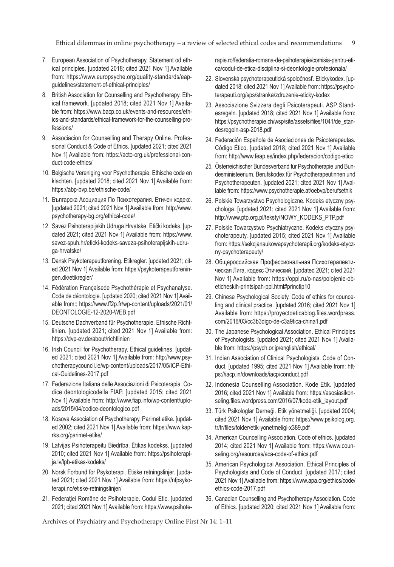Ethical dilemmas in online psychotherapy – a review of selected ethical codes and recommendations 9

- 7. European Association of Psychotherapy. Statement od ethical principles. [updated 2018; cited 2021 Nov 1] Available from: https://www.europsyche.org/quality-standards/eapguidelines/statement-of-ethical-principles/
- 8. British Association for Counselling and Psychotherapy. Ethical framework. [updated 2018; cited 2021 Nov 1] Available from: https://www.bacp.co.uk/events-and-resources/ethics-and-standards/ethical-framework-for-the-counselling-professions/
- 9. Associacion for Counselling and Therapy Online. Professional Conduct & Code of Ethics. [updated 2021; cited 2021 Nov 1] Available from: https://acto-org.uk/professional-conduct-code-ethics/
- 10. Belgische Vereniging voor Psychotherapie. Ethische code en klachten. [updated 2018; cited 2021 Nov 1] Available from: https://abp-bvp.be/ethische-code/
- 11. Българска Асоциация По Психотерапия. Етичен кодекс. [updated 2021; cited 2021 Nov 1] Available from: http://www. psychotherapy-bg.org/ethical-code/
- 12. Savez Psihoterapijskih Udruga Hrvatske. Etički kodeks. [updated 2021; cited 2021 Nov 1] Available from: https://www. savez-spuh.hr/eticki-kodeks-saveza-psihoterapijskih-udruga-hrvatske/
- 13. Dansk Psykoterapeutforening. Etikregler. [updated 2021; cited 2021 Nov 1] Available from: https://psykoterapeutforeningen.dk/etikregler/
- 14. Fédération Françaisede Psychothérapie et Psychanalyse. Code de déontologie. [updated 2020; cited 2021 Nov 1] Available from:; https://www.ff2p.fr/wp-content/uploads/2021/01/ DEONTOLOGIE-12-2020-WEB.pdf
- 15. Deutsche Dachverband für Psychotherapie. Ethische Richtlinien. [updated 2021; cited 2021 Nov 1] Available from: https://dvp-ev.de/about/richtlinien
- 16. Irish Council for Psychotherapy. Ethical guidelines. [updated 2021; cited 2021 Nov 1] Available from: http://www.psychotherapycouncil.ie/wp-content/uploads/2017/05/ICP-Ethical-Guidelines-2017.pdf
- 17. Federazione Italiana delle Associazioni di Psicoterapia. Codice deontologicodella FIAP. [updated 2015; cited 2021 Nov 1] Available from: http://www.fiap.info/wp-content/uploads/2015/04/codice-deontologico.pdf
- 18. Kosova Association of Psychotherapy. Parimet etike. [updated 2002; cited 2021 Nov 1] Available from: https://www.kaprks.org/parimet-etike/
- 19. Latvijas Psihoterapeitu Biedrība. Ētikas kodekss. [updated 2010; cited 2021 Nov 1] Available from: https://psihoterapija.lv/lpb-etikas-kodeks/
- 20. Norsk Forbund for Psykoterapi. Etiske retningslinjer. [updated 2021; cited 2021 Nov 1] Available from: https://nfpsykoterapi.no/etiske-retningslinjer/
- 21. Federației Române de Psihoterapie. Codul Etic. [updated 2021; cited 2021 Nov 1] Available from: https://www.psihote-

rapie.ro/federatia-romana-de-psihoterapie/comisia-pentru-etica/codul-de-etica-disciplina-si-deontologie-profesionala/

- 22. Slovenská psychoterapeutická spoločnosť. Etickykodex. [updated 2018; cited 2021 Nov 1] Available from: https://psychoterapeuti.org/sps/stranka/zdruzenie-eticky-kodex
- 23. Associazione Svizzera degli Psicoterapeuti. ASP Standesregeln. [updated 2018; cited 2021 Nov 1] Available from: https://psychotherapie.ch/wsp/site/assets/files/1041/de\_standesregeln-asp-2018.pdf
- 24. Federación Española de Asociaciones de Psicoterapeutas. Código Ético. [updated 2018; cited 2021 Nov 1] Available from: http://www.feap.es/index.php/federacion/codigo-etico
- 25. Österreichischer Bundesverband für Psychotherapie und Bundesministeerium. Berufskodex für Psychotherapeutinnen und Psychotherapeuten. [updated 2021; cited 2021 Nov 1] Available from: https://www.psychotherapie.at/oebvp/berufsethik
- 26. Polskie Towarzystwo Psychologiczne. Kodeks etyczny psychologa. [updated 2021; cited 2021 Nov 1] Available from: http://www.ptp.org.pl/teksty/NOWY\_KODEKS\_PTP.pdf
- 27. Polskie Towarzystwo Psychiatryczne. Kodeks etyczny psychoterapeuty. [updated 2015; cited 2021 Nov 1] Available from: https://sekcjanaukowapsychoterapii.org/kodeks-etyczny-psychoterapeuty/
- 28. Общероссийская Профессиональная Психотерапевтическая Лига. кодекс Этический. [updated 2021; cited 2021 Nov 1] Available from: https://oppl.ru/o-nas/polojenie-obeticheskih-printsipah-ppl.html#princtip10
- 29. Chinese Psychological Society. Code of ethics for counceling and clinical practice. [updated 2016; cited 2021 Nov 1] Available from: https://proyectoeticablog.files.wordpress. com/2016/03/cc3b3digo-de-c3a9tica-china1.pdf
- 30. The Japanese Psychological Association. Ethical Principles of Psychologists. [updated 2021; cited 2021 Nov 1] Available from: https://psych.or.jp/english/ethical/
- 31. Indian Association of Clinical Psychologists. Code of Conduct. [updated 1995; cited 2021 Nov 1] Available from: https://iacp.in/downloads/iacp/conduct.pdf
- 32. Indonesia Counselling Association. Kode Etik. [updated 2016; cited 2021 Nov 1] Available from: https://asosiasikonseling.files.wordpress.com/2016/07/kode-etik\_layout.pdf
- 33. Türk Psikologlar Derneği. Etik yönetmeliği. [updated 2004; cited 2021 Nov 1] Available from: https://www.psikolog.org. tr/tr/files/folder/etik-yonetmeligi-x389.pdf
- 34. American Councelling Association. Code of ethics. [updated 2014; cited 2021 Nov 1] Available from: https://www.counseling.org/resources/aca-code-of-ethics.pdf
- 35. American Psychological Association. Ethical Principles of Psychologists and Code of Conduct. [updated 2017; cited 2021 Nov 1] Available from: https://www.apa.org/ethics/code/ ethics-code-2017.pdf
- 36. Canadian Counselling and Psychotherapy Association. Code of Ethics. [updated 2020; cited 2021 Nov 1] Available from: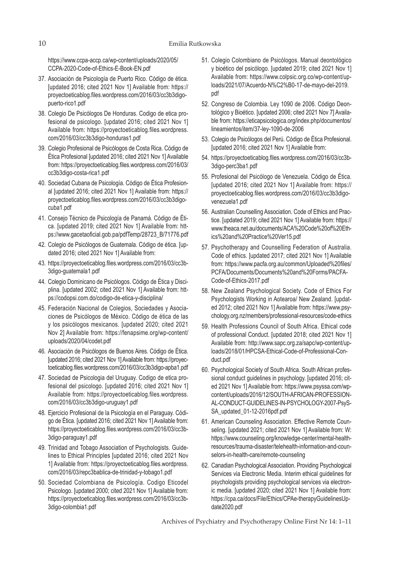https://www.ccpa-accp.ca/wp-content/uploads/2020/05/ CCPA-2020-Code-of-Ethics-E-Book-EN.pdf

- 37. Asociación de Psicología de Puerto Rico. Código de ética. [updated 2016; cited 2021 Nov 1] Available from: https:// proyectoeticablog.files.wordpress.com/2016/03/cc3b3digopuerto-rico1.pdf
- 38. Colegio De Psicólogos De Honduras. Codigo de etica profesional de psicologo. [updated 2016; cited 2021 Nov 1] Available from: https://proyectoeticablog.files.wordpress. com/2016/03/cc3b3digo-honduras1.pdf
- 39. Colegio Profesional de Psicólogos de Costa Rica. Código de Ética Profesional [updated 2016; cited 2021 Nov 1] Available from: https://proyectoeticablog.files.wordpress.com/2016/03/ cc3b3digo-costa-rica1.pdf
- 40. Sociedad Cubana de Psicología. Código de Ética Profesional [updated 2016; cited 2021 Nov 1] Available from: https:// proyectoeticablog.files.wordpress.com/2016/03/cc3b3digocuba1.pdf
- 41. Consejo Técnico de Psicología de Panamá. Código de Ética. [updated 2019; cited 2021 Nov 1] Available from: https://www.gacetaoficial.gob.pa/pdfTemp/28723\_B/71776.pdf
- 42. Colegio de Psicólogos de Guatemala. Código de ética. [updated 2016; cited 2021 Nov 1] Available from:
- 43. https://proyectoeticablog.files.wordpress.com/2016/03/cc3b-3digo-guatemala1.pdf
- 44. Colegio Dominicano de Psicólogos. Código de Ética y Disciplina. [updated 2002; cited 2021 Nov 1] Available from: https://codopsi.com.do/codigo-de-etica-y-disciplina/
- 45. Federación Nacional de Colegios, Sociedades y Asociaciones de Psicólogos de México. Código de ética de las y los psicólogos mexicanos. [updated 2020; cited 2021 Nov 2] Available from: https://fenapsime.org/wp-content/ uploads/2020/04/codet.pdf
- 46. Asociación de Psicólogos de Buenos Aires. Código de Ética. [updated 2016; cited 2021 Nov 1] Available from: https://proyectoeticablog.files.wordpress.com/2016/03/cc3b3digo-apba1.pdf
- 47. Sociedad de Psicologia del Uruguay. Codigo de etica profesional del psicologo. [updated 2016; cited 2021 Nov 1] Available from: https://proyectoeticablog.files.wordpress. com/2016/03/cc3b3digo-uruguay1.pdf
- 48. Ejercicio Profesional de la Psicología en el Paraguay. Código de Ética. [updated 2016; cited 2021 Nov 1] Available from: https://proyectoeticablog.files.wordpress.com/2016/03/cc3b-3digo-paraguay1.pdf
- 49. Trinidad and Tobago Association of Psychologists. Guidelines to Ethical Principles [updated 2016; cited 2021 Nov 1] Available from: https://proyectoeticablog.files.wordpress. com/2016/03/repc3bablica-de-trinidad-y-tobago1.pdf
- 50. Sociedad Colombiana de Psicología. Codigo Eticodel Psicologo. [updated 2000; cited 2021 Nov 1] Available from: https://proyectoeticablog.files.wordpress.com/2016/03/cc3b-3digo-colombia1.pdf
- 51. Colegio Colombiano de Psicólogos. Manual deontológico y bioético del psicólogo. [updated 2019; cited 2021 Nov 1] Available from: https://www.colpsic.org.co/wp-content/uploads/2021/07/Acuerdo-N%C2%B0-17-de-mayo-del-2019. pdf
- 52. Congreso de Colombia. Ley 1090 de 2006. Código Deontológico y Bioético. [updated 2006; cited 2021 Nov 7] Available from: https://eticapsicologica.org/index.php/documentos/ lineamientos/item/37-ley-1090-de-2006
- 53. Colegio de Psicólogos del Perú. Código de Ética Profesional. [updated 2016; cited 2021 Nov 1] Available from:
- 54. https://proyectoeticablog.files.wordpress.com/2016/03/cc3b-3digo-perc3ba1.pdf
- 55. Profesional del Psicólogo de Venezuela. Código de Ética. [updated 2016; cited 2021 Nov 1] Available from: https:// proyectoeticablog.files.wordpress.com/2016/03/cc3b3digovenezuela1.pdf
- 56. Australian Counselling Association. Code of Ethics and Practice. [updated 2019; cited 2021 Nov 1] Available from: https:// www.theaca.net.au/documents/ACA%20Code%20of%20Ethics%20and%20Practice%20Ver15.pdf
- 57. Psychotherapy and Counselling Federation of Australia. Code of ethics. [updated 2017; cited 2021 Nov 1] Available from: https://www.pacfa.org.au/common/Uploaded%20files/ PCFA/Documents/Documents%20and%20Forms/PACFA-Code-of-Ethics-2017.pdf
- 58. New Zealand Psychological Society. Code of Ethics For Psychologists Working in Aotearoa/ New Zealand. [updated 2012; cited 2021 Nov 1] Available from: https://www.psychology.org.nz/members/professional-resources/code-ethics
- 59. Health Professions Council of South Africa. Ethical code of professional Conduct. [updated 2018; cited 2021 Nov 1] Available from: http://www.sapc.org.za/sapc/wp-content/uploads/2018/01/HPCSA-Ethical-Code-of-Professional-Conduct.pdf
- 60. Psychological Society of South Africa. South African professional conduct guidelines in psychology. [updated 2016; cited 2021 Nov 1] Available from: https://www.psyssa.com/wpcontent/uploads/2016/12/SOUTH-AFRICAN-PROFESSION-AL-CONDUCT-GUIDELINES-IN-PSYCHOLOGY-2007-PsyS-SA\_updated\_01-12-2016pdf.pdf
- 61. American Counseling Association. Effective Remote Counseling. [updated 2021; cited 2021 Nov 1] Available from: W: https://www.counseling.org/knowledge-center/mental-healthresources/trauma-disaster/telehealth-information-and-counselors-in-health-care/remote-counseling
- 62. Canadian Psychological Association. Providing Psychological Services via Electronic Media. Interim ethical guidelines for psychologists providing psychological services via electronic media. [updated 2020; cited 2021 Nov 1] Available from: https://cpa.ca/docs/File/Ethics/CPAe-therapyGuidelinesUpdate2020.pdf